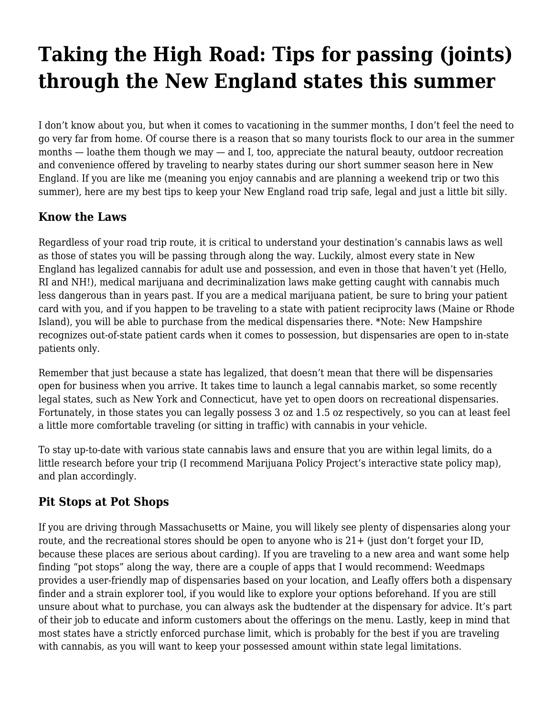# **[Taking the High Road: Tips for passing \(joints\)](https://motifri.com/high-road/) [through the New England states this summer](https://motifri.com/high-road/)**

I don't know about you, but when it comes to vacationing in the summer months, I don't feel the need to go very far from home. Of course there is a reason that so many tourists flock to our area in the summer months  $-$  loathe them though we may  $-$  and I, too, appreciate the natural beauty, outdoor recreation and convenience offered by traveling to nearby states during our short summer season here in New England. If you are like me (meaning you enjoy cannabis and are planning a weekend trip or two this summer), here are my best tips to keep your New England road trip safe, legal and just a little bit silly.

#### **Know the Laws**

Regardless of your road trip route, it is critical to understand your destination's cannabis laws as well as those of states you will be passing through along the way. Luckily, almost every state in New England has legalized cannabis for adult use and possession, and even in those that haven't yet (Hello, RI and NH!), medical marijuana and decriminalization laws make getting caught with cannabis much less dangerous than in years past. If you are a medical marijuana patient, be sure to bring your patient card with you, and if you happen to be traveling to a state with patient reciprocity laws (Maine or Rhode Island), you will be able to purchase from the medical dispensaries there. \*Note: New Hampshire recognizes out-of-state patient cards when it comes to possession, but dispensaries are open to in-state patients only.

Remember that just because a state has legalized, that doesn't mean that there will be dispensaries open for business when you arrive. It takes time to launch a legal cannabis market, so some recently legal states, such as New York and Connecticut, have yet to open doors on recreational dispensaries. Fortunately, in those states you can legally possess 3 oz and 1.5 oz respectively, so you can at least feel a little more comfortable traveling (or sitting in traffic) with cannabis in your vehicle.

To stay up-to-date with various state cannabis laws and ensure that you are within legal limits, do a little research before your trip (I recommend Marijuana Policy Project's [interactive state policy map](https://www.mpp.org/states/)), and plan accordingly.

#### **Pit Stops at Pot Shops**

If you are driving through Massachusetts or Maine, you will likely see plenty of dispensaries along your route, and the recreational stores should be open to anyone who is  $21+$  (just don't forget your ID, because these places are serious about carding). If you are traveling to a new area and want some help finding "pot stops" along the way, there are a couple of apps that I would recommend: [Weedmaps](https://weedmaps.com/) provides a user-friendly map of dispensaries based on your location, and Leafly offers both a [dispensary](https://www.leafly.com/dispensaries) [finder](https://www.leafly.com/dispensaries) and a [strain explorer](https://www.leafly.com/strains/lists) tool, if you would like to explore your options beforehand. If you are still unsure about [what to purchase](https://area52.com/delta-8-products/), you can always ask the budtender at the dispensary for advice. It's part of their job to educate and inform customers about the offerings on the menu. Lastly, keep in mind that most states have a strictly enforced purchase limit, which is probably for the best if you are traveling with cannabis, as you will want to keep your possessed amount within state legal limitations.